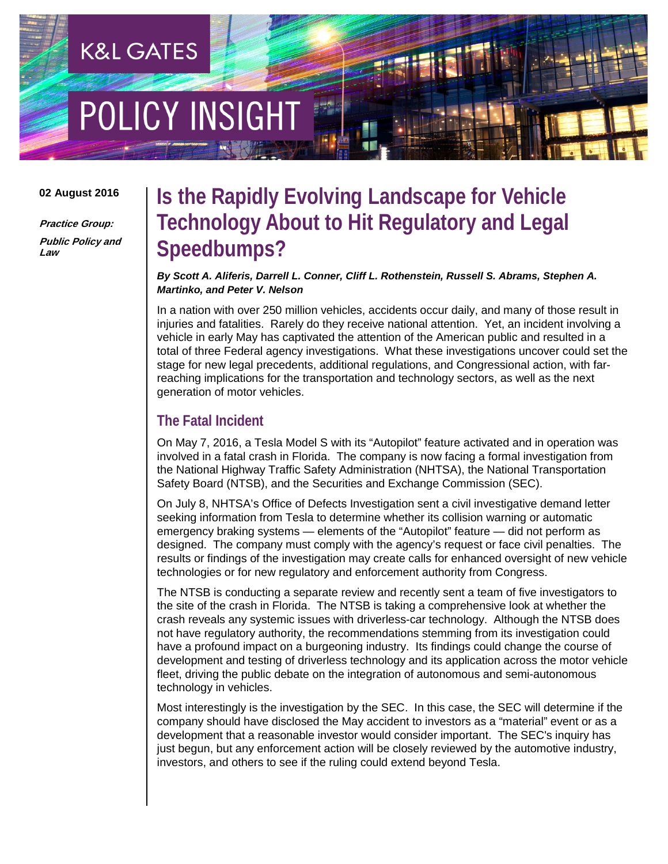# POLICY INSIGHT

**K&L GATES** 

#### **02 August 2016**

**Practice Group: Public Policy and Law**

## **Is the Rapidly Evolving Landscape for Vehicle Technology About to Hit Regulatory and Legal Speedbumps?**

*By Scott A. Aliferis, Darrell L. Conner, Cliff L. Rothenstein, Russell S. Abrams, Stephen A. Martinko, and Peter V. Nelson*

In a nation with over 250 million vehicles, accidents occur daily, and many of those result in injuries and fatalities. Rarely do they receive national attention. Yet, an incident involving a vehicle in early May has captivated the attention of the American public and resulted in a total of three Federal agency investigations. What these investigations uncover could set the stage for new legal precedents, additional regulations, and Congressional action, with farreaching implications for the transportation and technology sectors, as well as the next generation of motor vehicles.

#### **The Fatal Incident**

On May 7, 2016, a Tesla Model S with its "Autopilot" feature activated and in operation was involved in a fatal crash in Florida. The company is now facing a formal investigation from the National Highway Traffic Safety Administration (NHTSA), the National Transportation Safety Board (NTSB), and the Securities and Exchange Commission (SEC).

On July 8, NHTSA's Office of Defects Investigation sent a civil investigative demand letter seeking information from Tesla to determine whether its collision warning or automatic emergency braking systems — elements of the "Autopilot" feature — did not perform as designed. The company must comply with the agency's request or face civil penalties. The results or findings of the investigation may create calls for enhanced oversight of new vehicle technologies or for new regulatory and enforcement authority from Congress.

The NTSB is conducting a separate review and recently sent a team of five investigators to the site of the crash in Florida. The NTSB is taking a comprehensive look at whether the crash reveals any systemic issues with driverless-car technology. Although the NTSB does not have regulatory authority, the recommendations stemming from its investigation could have a profound impact on a burgeoning industry. Its findings could change the course of development and testing of driverless technology and its application across the motor vehicle fleet, driving the public debate on the integration of autonomous and semi-autonomous technology in vehicles.

Most interestingly is the investigation by the SEC. In this case, the SEC will determine if the company should have disclosed the May accident to investors as a "material" event or as a development that a reasonable investor would consider important. The SEC's inquiry has just begun, but any enforcement action will be closely reviewed by the automotive industry, investors, and others to see if the ruling could extend beyond Tesla.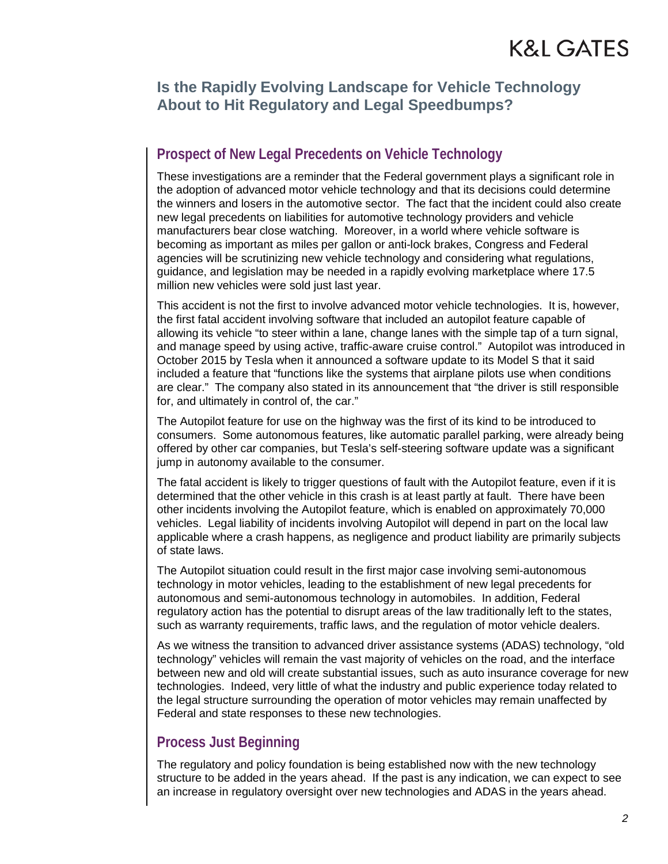## **Is the Rapidly Evolving Landscape for Vehicle Technology About to Hit Regulatory and Legal Speedbumps?**

#### **Prospect of New Legal Precedents on Vehicle Technology**

These investigations are a reminder that the Federal government plays a significant role in the adoption of advanced motor vehicle technology and that its decisions could determine the winners and losers in the automotive sector. The fact that the incident could also create new legal precedents on liabilities for automotive technology providers and vehicle manufacturers bear close watching. Moreover, in a world where vehicle software is becoming as important as miles per gallon or anti-lock brakes, Congress and Federal agencies will be scrutinizing new vehicle technology and considering what regulations, guidance, and legislation may be needed in a rapidly evolving marketplace where 17.5 million new vehicles were sold just last year.

This accident is not the first to involve advanced motor vehicle technologies. It is, however, the first fatal accident involving software that included an autopilot feature capable of allowing its vehicle "to steer within a lane, change lanes with the simple tap of a turn signal, and manage speed by using active, traffic-aware cruise control." Autopilot was introduced in October 2015 by Tesla when it announced a software update to its Model S that it said included a feature that "functions like the systems that airplane pilots use when conditions are clear." The company also stated in its announcement that "the driver is still responsible for, and ultimately in control of, the car."

The Autopilot feature for use on the highway was the first of its kind to be introduced to consumers. Some autonomous features, like automatic parallel parking, were already being offered by other car companies, but Tesla's self-steering software update was a significant jump in autonomy available to the consumer.

The fatal accident is likely to trigger questions of fault with the Autopilot feature, even if it is determined that the other vehicle in this crash is at least partly at fault. There have been other incidents involving the Autopilot feature, which is enabled on approximately 70,000 vehicles. Legal liability of incidents involving Autopilot will depend in part on the local law applicable where a crash happens, as negligence and product liability are primarily subjects of state laws.

The Autopilot situation could result in the first major case involving semi-autonomous technology in motor vehicles, leading to the establishment of new legal precedents for autonomous and semi-autonomous technology in automobiles. In addition, Federal regulatory action has the potential to disrupt areas of the law traditionally left to the states, such as warranty requirements, traffic laws, and the regulation of motor vehicle dealers.

As we witness the transition to advanced driver assistance systems (ADAS) technology, "old technology" vehicles will remain the vast majority of vehicles on the road, and the interface between new and old will create substantial issues, such as auto insurance coverage for new technologies. Indeed, very little of what the industry and public experience today related to the legal structure surrounding the operation of motor vehicles may remain unaffected by Federal and state responses to these new technologies.

## **Process Just Beginning**

The regulatory and policy foundation is being established now with the new technology structure to be added in the years ahead. If the past is any indication, we can expect to see an increase in regulatory oversight over new technologies and ADAS in the years ahead.